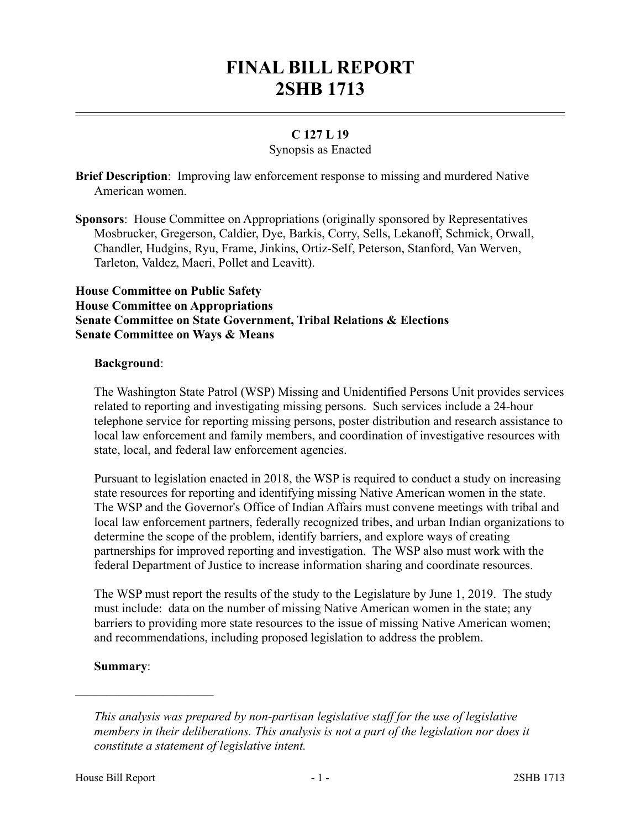# **FINAL BILL REPORT 2SHB 1713**

## **C 127 L 19**

## Synopsis as Enacted

**Brief Description**: Improving law enforcement response to missing and murdered Native American women.

**Sponsors**: House Committee on Appropriations (originally sponsored by Representatives Mosbrucker, Gregerson, Caldier, Dye, Barkis, Corry, Sells, Lekanoff, Schmick, Orwall, Chandler, Hudgins, Ryu, Frame, Jinkins, Ortiz-Self, Peterson, Stanford, Van Werven, Tarleton, Valdez, Macri, Pollet and Leavitt).

## **House Committee on Public Safety House Committee on Appropriations Senate Committee on State Government, Tribal Relations & Elections Senate Committee on Ways & Means**

## **Background**:

The Washington State Patrol (WSP) Missing and Unidentified Persons Unit provides services related to reporting and investigating missing persons. Such services include a 24-hour telephone service for reporting missing persons, poster distribution and research assistance to local law enforcement and family members, and coordination of investigative resources with state, local, and federal law enforcement agencies.

Pursuant to legislation enacted in 2018, the WSP is required to conduct a study on increasing state resources for reporting and identifying missing Native American women in the state. The WSP and the Governor's Office of Indian Affairs must convene meetings with tribal and local law enforcement partners, federally recognized tribes, and urban Indian organizations to determine the scope of the problem, identify barriers, and explore ways of creating partnerships for improved reporting and investigation. The WSP also must work with the federal Department of Justice to increase information sharing and coordinate resources.

The WSP must report the results of the study to the Legislature by June 1, 2019. The study must include: data on the number of missing Native American women in the state; any barriers to providing more state resources to the issue of missing Native American women; and recommendations, including proposed legislation to address the problem.

## **Summary**:

––––––––––––––––––––––

*This analysis was prepared by non-partisan legislative staff for the use of legislative members in their deliberations. This analysis is not a part of the legislation nor does it constitute a statement of legislative intent.*